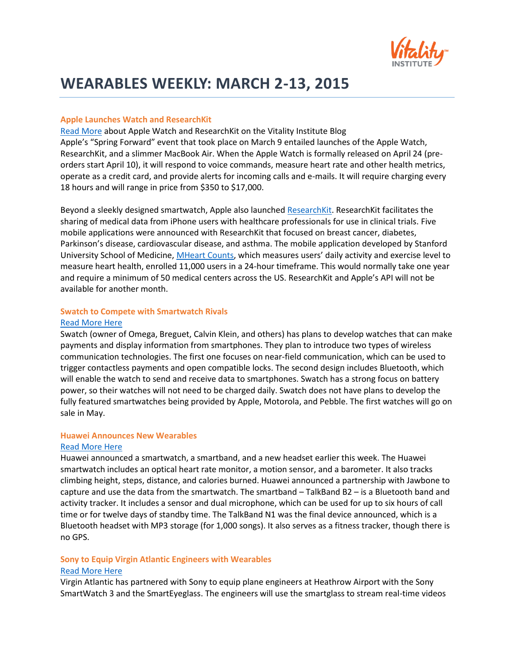

# **WEARABLES WEEKLY: MARCH 2-13, 2015**

### **Apple Launches Watch and ResearchKit**

[Read More](http://thevitalityinstitute.org/data-data-everywhere-apples-investment-in-wearables-and-research/) about Apple Watch and ResearchKit on the Vitality Institute Blog Apple's "Spring Forward" event that took place on March 9 entailed launches of the Apple Watch, ResearchKit, and a slimmer MacBook Air. When the Apple Watch is formally released on April 24 (preorders start April 10), it will respond to voice commands, measure heart rate and other health metrics, operate as a credit card, and provide alerts for incoming calls and e-mails. It will require charging every 18 hours and will range in price from \$350 to \$17,000.

Beyond a sleekly designed smartwatch, Apple also launched [ResearchKit.](https://www.apple.com/researchkit/) ResearchKit facilitates the sharing of medical data from iPhone users with healthcare professionals for use in clinical trials. Five mobile applications were announced with ResearchKit that focused on breast cancer, diabetes, Parkinson's disease, cardiovascular disease, and asthma. The mobile application developed by Stanford University School of Medicine, [MHeart Counts,](http://med.stanford.edu/news/all-news/2015/03/stanford-launches-smartphone-app-to-study-heart-health.html) which measures users' daily activity and exercise level to measure heart health, enrolled 11,000 users in a 24-hour timeframe. This would normally take one year and require a minimum of 50 medical centers across the US. ResearchKit and Apple's API will not be available for another month.

### **Swatch to Compete with Smartwatch Rivals** [Read More Here](http://www.bbc.com/news/technology-31857418)

Swatch (owner of Omega, Breguet, Calvin Klein, and others) has plans to develop watches that can make payments and display information from smartphones. They plan to introduce two types of wireless communication technologies. The first one focuses on near-field communication, which can be used to trigger contactless payments and open compatible locks. The second design includes Bluetooth, which will enable the watch to send and receive data to smartphones. Swatch has a strong focus on battery power, so their watches will not need to be charged daily. Swatch does not have plans to develop the fully featured smartwatches being provided by Apple, Motorola, and Pebble. The first watches will go on sale in May.

#### **Huawei Announces New Wearables**

#### [Read More Here](http://www.zdnet.com/article/huawei-announces-three-wearables-a-smartwatch-and-two-combination-activity-bands/)

Huawei announced a smartwatch, a smartband, and a new headset earlier this week. The Huawei smartwatch includes an optical heart rate monitor, a motion sensor, and a barometer. It also tracks climbing height, steps, distance, and calories burned. Huawei announced a partnership with Jawbone to capture and use the data from the smartwatch. The smartband – TalkBand B2 – is a Bluetooth band and activity tracker. It includes a sensor and dual microphone, which can be used for up to six hours of call time or for twelve days of standby time. The TalkBand N1 was the final device announced, which is a Bluetooth headset with MP3 storage (for 1,000 songs). It also serves as a fitness tracker, though there is no GPS.

## **Sony to Equip Virgin Atlantic Engineers with Wearables**

## [Read More Here](http://www.engadget.com/2015/03/03/sony-smarteyeglass-smartwatch-virgin-atlantic/)

Virgin Atlantic has partnered with Sony to equip plane engineers at Heathrow Airport with the Sony SmartWatch 3 and the SmartEyeglass. The engineers will use the smartglass to stream real-time videos